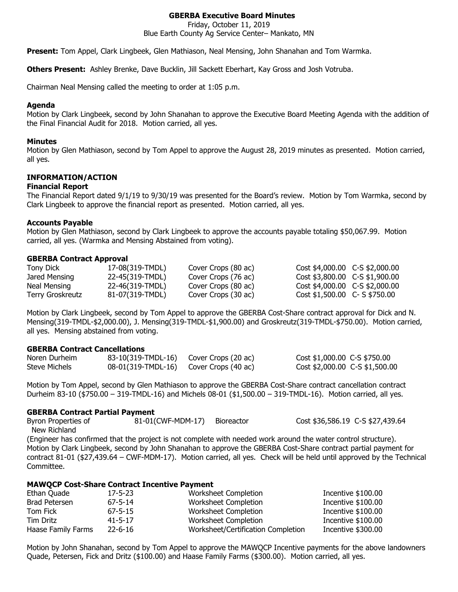# **GBERBA Executive Board Minutes**

Friday, October 11, 2019

Blue Earth County Ag Service Center– Mankato, MN

**Present:** Tom Appel, Clark Lingbeek, Glen Mathiason, Neal Mensing, John Shanahan and Tom Warmka.

**Others Present:** Ashley Brenke, Dave Bucklin, Jill Sackett Eberhart, Kay Gross and Josh Votruba.

Chairman Neal Mensing called the meeting to order at 1:05 p.m.

# **Agenda**

Motion by Clark Lingbeek, second by John Shanahan to approve the Executive Board Meeting Agenda with the addition of the Final Financial Audit for 2018. Motion carried, all yes.

### **Minutes**

Motion by Glen Mathiason, second by Tom Appel to approve the August 28, 2019 minutes as presented. Motion carried, all yes.

# **INFORMATION/ACTION**

#### **Financial Report**

The Financial Report dated 9/1/19 to 9/30/19 was presented for the Board's review. Motion by Tom Warmka, second by Clark Lingbeek to approve the financial report as presented. Motion carried, all yes.

### **Accounts Payable**

Motion by Glen Mathiason, second by Clark Lingbeek to approve the accounts payable totaling \$50,067.99. Motion carried, all yes. (Warmka and Mensing Abstained from voting).

### **GBERBA Contract Approval**

| <b>Tony Dick</b> | 17-08(319-TMDL) | Cover Crops (80 ac) | Cost \$4,000.00 C-S \$2,000.00 |  |
|------------------|-----------------|---------------------|--------------------------------|--|
| Jared Mensing    | 22-45(319-TMDL) | Cover Crops (76 ac) | Cost \$3,800.00 C-S \$1,900.00 |  |
| Neal Mensing     | 22-46(319-TMDL) | Cover Crops (80 ac) | Cost \$4,000.00 C-S \$2,000.00 |  |
| Terry Groskreutz | 81-07(319-TMDL) | Cover Crops (30 ac) | Cost \$1,500.00 C- S \$750.00  |  |

Motion by Clark Lingbeek, second by Tom Appel to approve the GBERBA Cost-Share contract approval for Dick and N. Mensing(319-TMDL-\$2,000.00), J. Mensing(319-TMDL-\$1,900.00) and Groskreutz(319-TMDL-\$750.00). Motion carried, all yes. Mensing abstained from voting.

# **GBERBA Contract Cancellations**

| Noren Durheim | 83-10(319-TMDL-16) Cover Crops (20 ac) | Cost \$1,000.00 C-S \$750.00   |  |
|---------------|----------------------------------------|--------------------------------|--|
| Steve Michels | 08-01(319-TMDL-16) Cover Crops (40 ac) | Cost \$2,000.00 C-S \$1,500.00 |  |

Motion by Tom Appel, second by Glen Mathiason to approve the GBERBA Cost-Share contract cancellation contract Durheim 83-10 (\$750.00 – 319-TMDL-16) and Michels 08-01 (\$1,500.00 – 319-TMDL-16). Motion carried, all yes.

#### **GBERBA Contract Partial Payment**

Byron Properties of  $81-01$ (CWF-MDM-17) Bioreactor Cost \$36,586.19 C-S \$27,439.64 New Richland (Engineer has confirmed that the project is not complete with needed work around the water control structure). Motion by Clark Lingbeek, second by John Shanahan to approve the GBERBA Cost-Share contract partial payment for contract 81-01 (\$27,439.64 – CWF-MDM-17). Motion carried, all yes. Check will be held until approved by the Technical Committee.

# **MAWQCP Cost-Share Contract Incentive Payment**

| Ethan Quade        | $17 - 5 - 23$ | Worksheet Completion               | Incentive \$100.00  |
|--------------------|---------------|------------------------------------|---------------------|
| Brad Petersen      | $67 - 5 - 14$ | Worksheet Completion               | Incentive \$100.00  |
| Tom Fick           | $67 - 5 - 15$ | Worksheet Completion               | Incentive $$100.00$ |
| Tim Dritz          | $41 - 5 - 17$ | Worksheet Completion               | Incentive \$100.00  |
| Haase Family Farms | $22 - 6 - 16$ | Worksheet/Certification Completion | Incentive \$300.00  |

Motion by John Shanahan, second by Tom Appel to approve the MAWQCP Incentive payments for the above landowners Quade, Petersen, Fick and Dritz (\$100.00) and Haase Family Farms (\$300.00). Motion carried, all yes.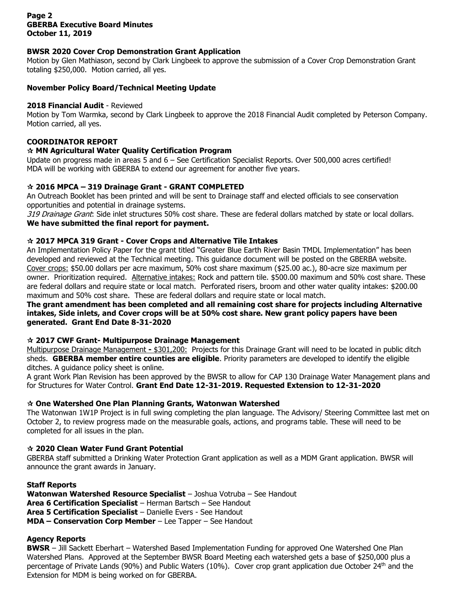# **Page 2 GBERBA Executive Board Minutes October 11, 2019**

# **BWSR 2020 Cover Crop Demonstration Grant Application**

Motion by Glen Mathiason, second by Clark Lingbeek to approve the submission of a Cover Crop Demonstration Grant totaling \$250,000. Motion carried, all yes.

# **November Policy Board/Technical Meeting Update**

### **2018 Financial Audit** - Reviewed

Motion by Tom Warmka, second by Clark Lingbeek to approve the 2018 Financial Audit completed by Peterson Company. Motion carried, all yes.

# **COORDINATOR REPORT**

### **MN Agricultural Water Quality Certification Program**

Update on progress made in areas 5 and 6 – See Certification Specialist Reports. Over 500,000 acres certified! MDA will be working with GBERBA to extend our agreement for another five years.

### **2016 MPCA – 319 Drainage Grant - GRANT COMPLETED**

An Outreach Booklet has been printed and will be sent to Drainage staff and elected officials to see conservation opportunities and potential in drainage systems.

319 Drainage Grant: Side inlet structures 50% cost share. These are federal dollars matched by state or local dollars. **We have submitted the final report for payment.**

### **2017 MPCA 319 Grant - Cover Crops and Alternative Tile Intakes**

An Implementation Policy Paper for the grant titled "Greater Blue Earth River Basin TMDL Implementation" has been developed and reviewed at the Technical meeting. This guidance document will be posted on the GBERBA website. Cover crops: \$50.00 dollars per acre maximum, 50% cost share maximum (\$25.00 ac.), 80-acre size maximum per owner. Prioritization required. Alternative intakes: Rock and pattern tile. \$500.00 maximum and 50% cost share. These are federal dollars and require state or local match. Perforated risers, broom and other water quality intakes: \$200.00 maximum and 50% cost share. These are federal dollars and require state or local match.

## **The grant amendment has been completed and all remaining cost share for projects including Alternative intakes, Side inlets, and Cover crops will be at 50% cost share. New grant policy papers have been generated. Grant End Date 8-31-2020**

#### **2017 CWF Grant- Multipurpose Drainage Management**

Multipurpose Drainage Management **-** \$301,200: Projects for this Drainage Grant will need to be located in public ditch sheds. **GBERBA member entire counties are eligible**. Priority parameters are developed to identify the eligible ditches. A guidance policy sheet is online.

A grant Work Plan Revision has been approved by the BWSR to allow for CAP 130 Drainage Water Management plans and for Structures for Water Control. **Grant End Date 12-31-2019. Requested Extension to 12-31-2020**

#### **One Watershed One Plan Planning Grants, Watonwan Watershed**

The Watonwan 1W1P Project is in full swing completing the plan language. The Advisory/ Steering Committee last met on October 2, to review progress made on the measurable goals, actions, and programs table. These will need to be completed for all issues in the plan.

# **2020 Clean Water Fund Grant Potential**

GBERBA staff submitted a Drinking Water Protection Grant application as well as a MDM Grant application. BWSR will announce the grant awards in January.

#### **Staff Reports**

**Watonwan Watershed Resource Specialist** – Joshua Votruba – See Handout **Area 6 Certification Specialist** – Herman Bartsch – See Handout **Area 5 Certification Specialist** – Danielle Evers - See Handout **MDA – Conservation Corp Member** – Lee Tapper – See Handout

# **Agency Reports**

**BWSR** – Jill Sackett Eberhart – Watershed Based Implementation Funding for approved One Watershed One Plan Watershed Plans. Approved at the September BWSR Board Meeting each watershed gets a base of \$250,000 plus a percentage of Private Lands (90%) and Public Waters (10%). Cover crop grant application due October 24<sup>th</sup> and the Extension for MDM is being worked on for GBERBA.